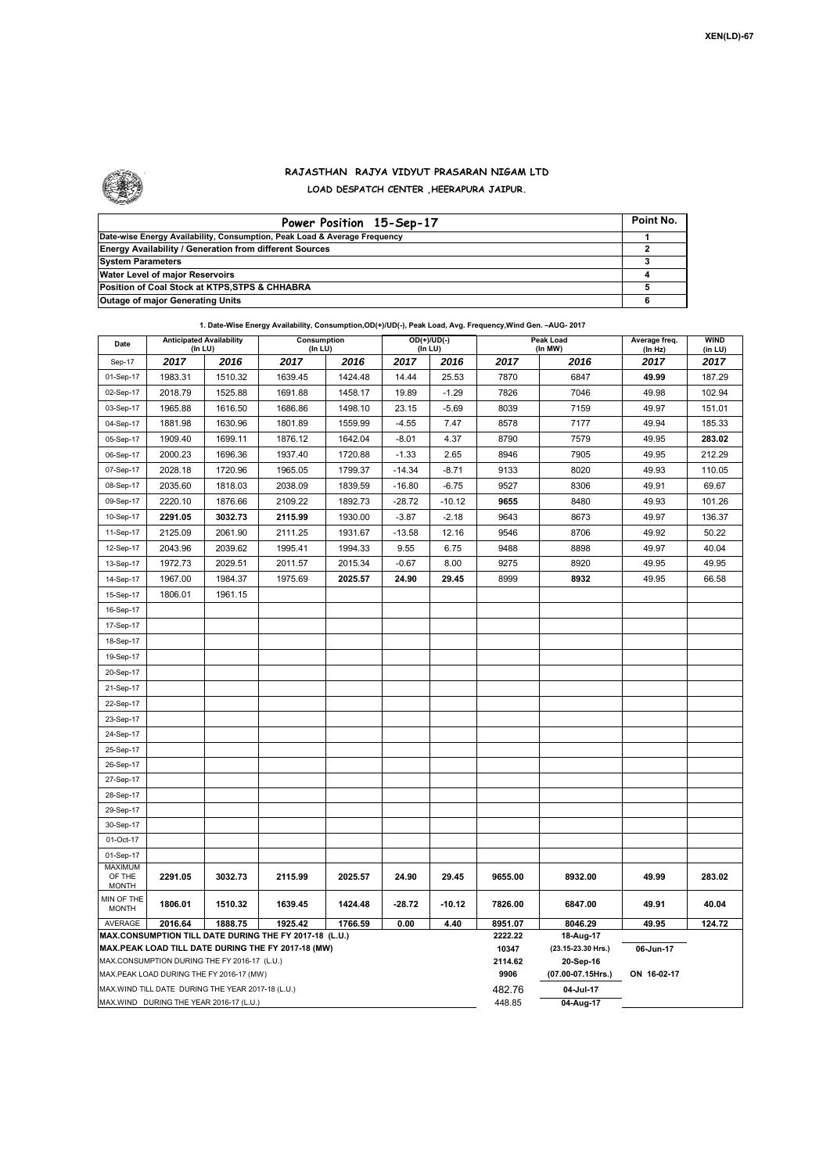

## **RAJASTHAN RAJYA VIDYUT PRASARAN NIGAM LTD LOAD DESPATCH CENTER ,HEERAPURA JAIPUR.**

| Power Position 15-Sep-17                                                  | Point No. |
|---------------------------------------------------------------------------|-----------|
| Date-wise Energy Availability, Consumption, Peak Load & Average Frequency |           |
| <b>Energy Availability / Generation from different Sources</b>            |           |
| <b>System Parameters</b>                                                  |           |
| Water Level of major Reservoirs                                           |           |
| Position of Coal Stock at KTPS, STPS & CHHABRA                            |           |
| <b>Outage of major Generating Units</b>                                   |           |

|                                                                                                                                                              |                                                   |         | 1. Date-Wise Energy Availability, Consumption, OD(+)/UD(-), Peak Load, Avg. Frequency, Wind Gen. - AUG- 2017 |         |          |                             |                                              |                             |                          |                        |  |
|--------------------------------------------------------------------------------------------------------------------------------------------------------------|---------------------------------------------------|---------|--------------------------------------------------------------------------------------------------------------|---------|----------|-----------------------------|----------------------------------------------|-----------------------------|--------------------------|------------------------|--|
| Date                                                                                                                                                         | <b>Anticipated Availability</b><br>(In LU)        |         | Consumption<br>(In LU)                                                                                       |         |          | $OD(+)/UD(-)$<br>(In LU)    |                                              | <b>Peak Load</b><br>(In MW) | Average freq.<br>(In Hz) | <b>WIND</b><br>(in LU) |  |
| Sep-17                                                                                                                                                       | 2017                                              | 2016    | 2017                                                                                                         | 2016    | 2017     | 2016                        | 2017                                         | 2016                        | 2017                     | 2017                   |  |
| 01-Sep-17                                                                                                                                                    | 1983.31                                           | 1510.32 | 1639.45                                                                                                      | 1424.48 | 14.44    | 25.53                       | 7870                                         | 6847                        | 49.99                    | 187.29                 |  |
| 02-Sep-17                                                                                                                                                    | 2018.79                                           | 1525.88 | 1691.88                                                                                                      | 1458.17 | 19.89    | $-1.29$                     | 7826                                         | 7046                        | 49.98                    | 102.94                 |  |
| 03-Sep-17                                                                                                                                                    | 1965.88                                           | 1616.50 | 1686.86                                                                                                      | 1498.10 | 23.15    | $-5.69$                     | 8039                                         | 7159                        | 49.97                    | 151.01                 |  |
| 04-Sep-17                                                                                                                                                    | 1881.98                                           | 1630.96 | 1801.89                                                                                                      | 1559.99 | $-4.55$  | 7.47                        | 8578                                         | 7177                        | 49.94                    | 185.33                 |  |
| 05-Sep-17                                                                                                                                                    | 1909.40                                           | 1699.11 | 1876.12                                                                                                      | 1642.04 | $-8.01$  | 4.37                        | 8790                                         | 7579                        | 49.95                    | 283.02                 |  |
| 06-Sep-17                                                                                                                                                    | 2000.23                                           | 1696.36 | 1937.40                                                                                                      | 1720.88 | $-1.33$  | 2.65                        | 8946                                         | 7905                        | 49.95                    | 212.29                 |  |
| 07-Sep-17                                                                                                                                                    | 2028.18                                           | 1720.96 | 1965.05                                                                                                      | 1799.37 | $-14.34$ | $-8.71$                     | 9133                                         | 8020                        | 49.93                    | 110.05                 |  |
| 08-Sep-17                                                                                                                                                    | 2035.60                                           | 1818.03 | 2038.09                                                                                                      | 1839.59 | $-16.80$ | $-6.75$                     | 9527                                         | 8306                        | 49.91                    | 69.67                  |  |
| 09-Sep-17                                                                                                                                                    | 2220.10                                           | 1876.66 | 2109.22                                                                                                      | 1892.73 | $-28.72$ | $-10.12$                    | 9655                                         | 8480                        | 49.93                    | 101.26                 |  |
| 10-Sep-17                                                                                                                                                    | 2291.05                                           | 3032.73 | 2115.99                                                                                                      | 1930.00 | $-3.87$  | $-2.18$                     | 9643                                         | 8673                        | 49.97                    | 136.37                 |  |
| 11-Sep-17                                                                                                                                                    | 2125.09                                           | 2061.90 | 2111.25                                                                                                      | 1931.67 | $-13.58$ | 12.16                       | 9546                                         | 8706                        | 49.92                    | 50.22                  |  |
| 12-Sep-17                                                                                                                                                    | 2043.96                                           | 2039.62 | 1995.41                                                                                                      | 1994.33 | 9.55     | 6.75                        | 9488                                         | 8898                        | 49.97                    | 40.04                  |  |
| 13-Sep-17                                                                                                                                                    | 1972.73                                           | 2029.51 | 2011.57                                                                                                      | 2015.34 | $-0.67$  | 8.00                        | 9275                                         | 8920                        | 49.95                    | 49.95                  |  |
| 14-Sep-17                                                                                                                                                    | 1967.00                                           | 1984.37 | 1975.69                                                                                                      | 2025.57 | 24.90    | 29.45                       | 8999                                         | 8932                        | 49.95                    | 66.58                  |  |
| 15-Sep-17                                                                                                                                                    | 1806.01                                           | 1961.15 |                                                                                                              |         |          |                             |                                              |                             |                          |                        |  |
| 16-Sep-17                                                                                                                                                    |                                                   |         |                                                                                                              |         |          |                             |                                              |                             |                          |                        |  |
| 17-Sep-17                                                                                                                                                    |                                                   |         |                                                                                                              |         |          |                             |                                              |                             |                          |                        |  |
| 18-Sep-17                                                                                                                                                    |                                                   |         |                                                                                                              |         |          |                             |                                              |                             |                          |                        |  |
| 19-Sep-17                                                                                                                                                    |                                                   |         |                                                                                                              |         |          |                             |                                              |                             |                          |                        |  |
| 20-Sep-17                                                                                                                                                    |                                                   |         |                                                                                                              |         |          |                             |                                              |                             |                          |                        |  |
| 21-Sep-17                                                                                                                                                    |                                                   |         |                                                                                                              |         |          |                             |                                              |                             |                          |                        |  |
| 22-Sep-17                                                                                                                                                    |                                                   |         |                                                                                                              |         |          |                             |                                              |                             |                          |                        |  |
| 23-Sep-17                                                                                                                                                    |                                                   |         |                                                                                                              |         |          |                             |                                              |                             |                          |                        |  |
| 24-Sep-17                                                                                                                                                    |                                                   |         |                                                                                                              |         |          |                             |                                              |                             |                          |                        |  |
| 25-Sep-17                                                                                                                                                    |                                                   |         |                                                                                                              |         |          |                             |                                              |                             |                          |                        |  |
| 26-Sep-17                                                                                                                                                    |                                                   |         |                                                                                                              |         |          |                             |                                              |                             |                          |                        |  |
| 27-Sep-17                                                                                                                                                    |                                                   |         |                                                                                                              |         |          |                             |                                              |                             |                          |                        |  |
| 28-Sep-17                                                                                                                                                    |                                                   |         |                                                                                                              |         |          |                             |                                              |                             |                          |                        |  |
| 29-Sep-17                                                                                                                                                    |                                                   |         |                                                                                                              |         |          |                             |                                              |                             |                          |                        |  |
| 30-Sep-17                                                                                                                                                    |                                                   |         |                                                                                                              |         |          |                             |                                              |                             |                          |                        |  |
| 01-Oct-17                                                                                                                                                    |                                                   |         |                                                                                                              |         |          |                             |                                              |                             |                          |                        |  |
| 01-Sep-17                                                                                                                                                    |                                                   |         |                                                                                                              |         |          |                             |                                              |                             |                          |                        |  |
| MAXIMUM                                                                                                                                                      |                                                   |         |                                                                                                              |         |          |                             |                                              |                             |                          |                        |  |
| OF THE<br><b>MONTH</b>                                                                                                                                       | 2291.05                                           | 3032.73 | 2115.99                                                                                                      | 2025.57 | 24.90    | 29.45                       | 9655.00                                      | 8932.00                     | 49.99                    | 283.02                 |  |
| MIN OF THE<br><b>MONTH</b>                                                                                                                                   | 1806.01                                           | 1510.32 | 1639.45                                                                                                      | 1424.48 | $-28.72$ | $-10.12$                    | 7826.00                                      | 6847.00                     | 49.91                    | 40.04                  |  |
| AVERAGE                                                                                                                                                      | 2016.64                                           | 1888.75 | 1925.42                                                                                                      | 1766.59 | 0.00     | 4.40                        | 8951.07                                      | 8046.29                     | 49.95                    | 124.72                 |  |
| MAX.CONSUMPTION TILL DATE DURING THE FY 2017-18 (L.U.)<br>MAX.PEAK LOAD TILL DATE DURING THE FY 2017-18 (MW)<br>MAX.CONSUMPTION DURING THE FY 2016-17 (L.U.) |                                                   |         |                                                                                                              |         |          | 2222.22<br>10347<br>2114.62 | 18-Aug-17<br>(23.15-23.30 Hrs.)<br>20-Sep-16 | 06-Jun-17                   |                          |                        |  |
|                                                                                                                                                              | MAX.PEAK LOAD DURING THE FY 2016-17 (MW)          |         |                                                                                                              |         |          |                             | 9906                                         | (07.00-07.15Hrs.)           | ON 16-02-17              |                        |  |
|                                                                                                                                                              | MAX.WIND TILL DATE DURING THE YEAR 2017-18 (L.U.) |         |                                                                                                              |         |          |                             | 482.76                                       | 04-Jul-17                   |                          |                        |  |
| MAX.WIND DURING THE YEAR 2016-17 (L.U.)                                                                                                                      |                                                   |         |                                                                                                              |         |          |                             | 448.85                                       | 04-Aug-17                   |                          |                        |  |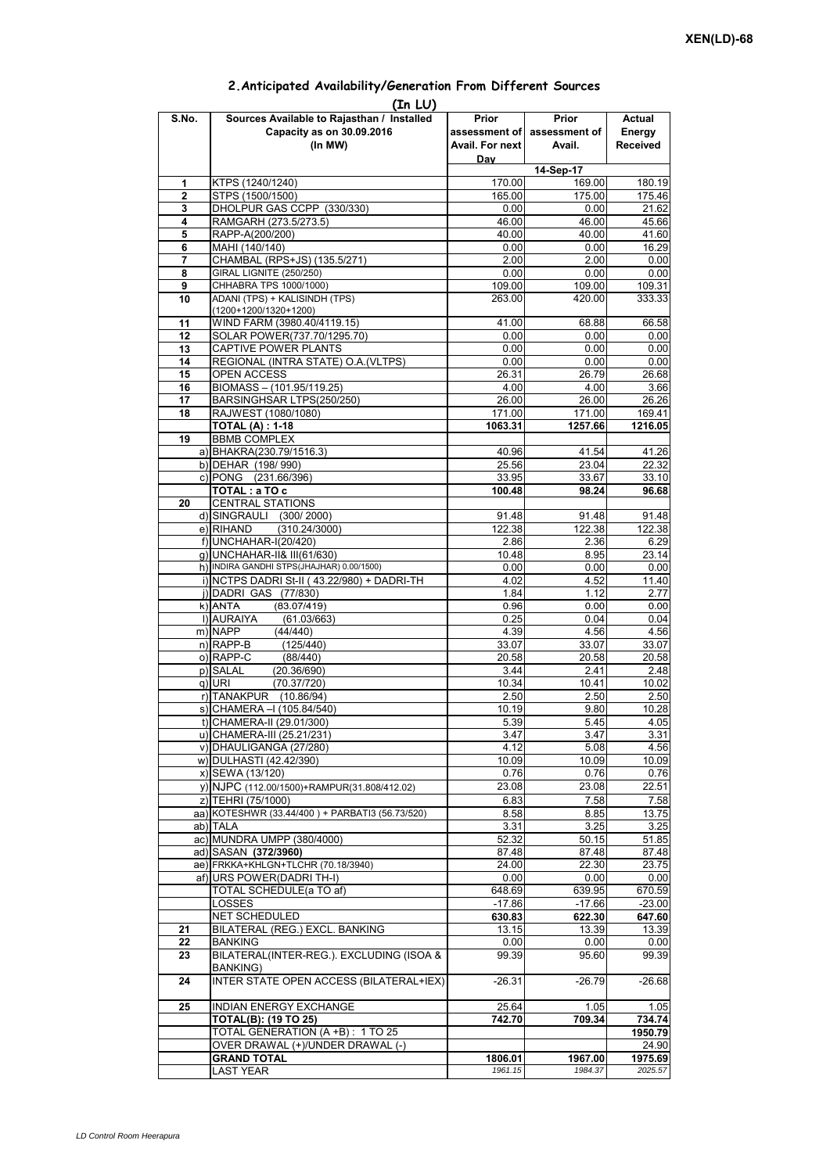|       | (In LU)                                         |                 |                             |                 |
|-------|-------------------------------------------------|-----------------|-----------------------------|-----------------|
| S.No. | Sources Available to Rajasthan / Installed      | Prior           | Prior                       | Actual          |
|       | Capacity as on 30.09.2016                       |                 | assessment of assessment of | Energy          |
|       | (In MW)                                         | Avail. For next | Avail.                      | <b>Received</b> |
|       |                                                 | Day             |                             |                 |
|       |                                                 |                 | 14-Sep-17                   |                 |
| 1     | KTPS (1240/1240)                                | 170.00          | 169.00                      | 180.19          |
| 2     | STPS (1500/1500)                                | 165.00          | 175.00                      | 175.46          |
| 3     | DHOLPUR GAS CCPP (330/330)                      | 0.00            | 0.00                        | 21.62           |
| 4     | RAMGARH (273.5/273.5)                           | 46.00           | 46.00                       | 45.66           |
| 5     | RAPP-A(200/200)                                 | 40.00           | 40.00                       | 41.60           |
| 6     | MAHI (140/140)                                  | 0.00            | 0.00                        | 16.29           |
| 7     | CHAMBAL (RPS+JS) (135.5/271)                    | 2.00            | 2.00                        | 0.00            |
| 8     | GIRAL LIGNITE (250/250)                         | 0.00            | 0.00                        | 0.00            |
| 9     | CHHABRA TPS 1000/1000)                          | 109.00          | 109.00                      | 109.31          |
| 10    | ADANI (TPS) + KALISINDH (TPS)                   | 263.00          | 420.00                      | 333.33          |
|       | $(1200+1200/1320+1200)$                         |                 |                             |                 |
| 11    | WIND FARM (3980.40/4119.15)                     | 41.00           | 68.88                       | 66.58           |
| 12    | SOLAR POWER(737.70/1295.70)                     | 0.00            | 0.00                        | 0.00            |
| 13    | CAPTIVE POWER PLANTS                            | 0.00            | 0.00                        | 0.00            |
| 14    | REGIONAL (INTRA STATE) O.A. (VLTPS)             | 0.00            | 0.00                        | 0.00            |
| 15    | OPEN ACCESS                                     | 26.31           | 26.79                       | 26.68           |
| 16    | BIOMASS - (101.95/119.25)                       | 4.00            | 4.00                        | 3.66            |
| 17    | BARSINGHSAR LTPS(250/250)                       | 26.00           | 26.00                       | 26.26           |
| 18    | RAJWEST (1080/1080)                             | 171.00          | 171.00                      | 169.41          |
|       | <b>TOTAL (A) : 1-18</b>                         | 1063.31         | 1257.66                     | 1216.05         |
| 19    | <b>BBMB COMPLEX</b>                             |                 |                             |                 |
|       |                                                 |                 |                             |                 |
|       | a) BHAKRA(230.79/1516.3)                        | 40.96           | 41.54                       | 41.26           |
|       | b) DEHAR (198/990)                              | 25.56           | 23.04                       | 22.32           |
|       | c) PONG (231.66/396)                            | 33.95           | 33.67                       | 33.10           |
|       | TOTAL: a TO c                                   | 100.48          | 98.24                       | 96.68           |
| 20    | <b>CENTRAL STATIONS</b>                         |                 |                             |                 |
|       | d) SINGRAULI (300/2000)                         | 91.48           | 91.48                       | 91.48           |
|       | (310.24/3000)<br>e) RIHAND                      | 122.38          | 122.38                      | 122.38          |
|       | f) UNCHAHAR-I(20/420)                           | 2.86            | 2.36                        | 6.29            |
|       | g) UNCHAHAR-II& III(61/630)                     | 10.48           | 8.95                        | 23.14           |
|       | h) INDIRA GANDHI STPS(JHAJHAR) 0.00/1500)       | 0.00            | 0.00                        | 0.00            |
|       | i) NCTPS DADRI St-II (43.22/980) + DADRI-TH     | 4.02            | 4.52                        | 11.40           |
|       | j) DADRI GAS (77/830)                           | 1.84            | 1.12                        | 2.77            |
|       | k) ANTA<br>(83.07/419)                          | 0.96            | 0.00                        | 0.00            |
|       | I) AURAIYA<br>(61.03/663)                       | 0.25            | 0.04                        | 0.04            |
|       | m) NAPP<br>(44/440)                             | 4.39            | 4.56                        | 4.56            |
|       | $n)$ RAPP-B<br>(125/440)                        | 33.07           | 33.07                       | 33.07           |
|       | o) RAPP-C<br>(88/440)                           | 20.58           | 20.58                       | 20.58           |
|       | p) SALAL<br>(20.36/690)                         | 3.44            | 2.41                        | 2.48            |
|       | q) URI<br>(70.37/720)                           | 10.34           | 10.41                       | 10.02           |
|       | r) TANAKPUR (10.86/94)                          | 2.50            | 2.50                        | 2.50            |
|       | s) CHAMERA - (105.84/540)                       | 10.19           | 9.80                        | 10.28           |
|       | t) CHAMERA-II (29.01/300)                       | 5.39            | 5.45                        | 4.05            |
|       | u) CHAMERA-III (25.21/231)                      | 3.47            | 3.47                        | 3.31            |
|       | v) DHAULIGANGA (27/280)                         | 4.12            | 5.08                        | 4.56            |
|       | w) DULHASTI (42.42/390)                         | 10.09           | 10.09                       | 10.09           |
|       | x) SEWA (13/120)                                | 0.76            | 0.76                        | 0.76            |
|       | y) NJPC (112.00/1500) + RAMPUR(31.808/412.02)   | 23.08           | 23.08                       | 22.51           |
|       | z) TEHRI (75/1000)                              | 6.83            | 7.58                        | 7.58            |
|       | aa) KOTESHWR (33.44/400) + PARBATI3 (56.73/520) | 8.58            | 8.85                        | 13.75           |
|       |                                                 | 3.31            | 3.25                        |                 |
|       | ab) TALA<br>ac) MUNDRA UMPP (380/4000)          |                 |                             | 3.25            |
|       |                                                 | 52.32           | 50.15                       | 51.85           |
|       | ad) SASAN (372/3960)                            | 87.48           | 87.48                       | 87.48           |
|       | ae) FRKKA+KHLGN+TLCHR (70.18/3940)              | 24.00           | 22.30                       | 23.75           |
|       | af) URS POWER(DADRI TH-I)                       | 0.00            | 0.00                        | 0.00            |
|       | TOTAL SCHEDULE(a TO af)                         | 648.69          | 639.95                      | 670.59          |
|       | LOSSES                                          | $-17.86$        | $-17.66$                    | $-23.00$        |
|       | NET SCHEDULED                                   | 630.83          | 622.30                      | 647.60          |
| 21    | BILATERAL (REG.) EXCL. BANKING                  | 13.15           | 13.39                       | 13.39           |
| 22    | <b>BANKING</b>                                  | 0.00            | 0.00                        | 0.00            |
| 23    | BILATERAL(INTER-REG.). EXCLUDING (ISOA &        | 99.39           | 95.60                       | 99.39           |
|       | BANKING)                                        |                 |                             |                 |
| 24    | INTER STATE OPEN ACCESS (BILATERAL+IEX)         | $-26.31$        | $-26.79$                    | $-26.68$        |
|       |                                                 |                 |                             |                 |
| 25    | INDIAN ENERGY EXCHANGE                          | 25.64           | 1.05                        | 1.05            |
|       | <b>TOTAL(B): (19 TO 25)</b>                     | 742.70          | 709.34                      | 734.74          |
|       | TOTAL GENERATION (A +B) : 1 TO 25               |                 |                             | 1950.79         |
|       | OVER DRAWAL (+)/UNDER DRAWAL (-)                |                 |                             | 24.90           |
|       | <b>GRAND TOTAL</b>                              | 1806.01         | 1967.00                     | 1975.69         |
|       | <b>LAST YEAR</b>                                | 1961.15         | 1984.37                     | 2025.57         |

## **2.Anticipated Availability/Generation From Different Sources**